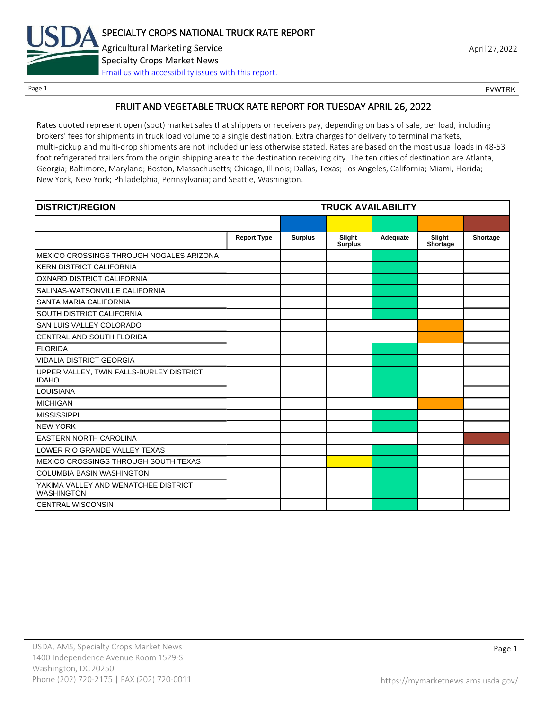

Page 1 FOUNTRK CONTROL CONTROL CONTROL CONTROL CONTROL CONTROL CONTROL CONTROL CONTROL CONTROL CONTROL CONTROL CONTROL CONTROL CONTROL CONTROL CONTROL CONTROL CONTROL CONTROL CONTROL CONTROL CONTROL CONTROL CONTROL CONTROL

# FRUIT AND VEGETABLE TRUCK RATE REPORT FOR TUESDAY APRIL 26, 2022

Rates quoted represent open (spot) market sales that shippers or receivers pay, depending on basis of sale, per load, including brokers' fees for shipments in truck load volume to a single destination. Extra charges for delivery to terminal markets, multi-pickup and multi-drop shipments are not included unless otherwise stated. Rates are based on the most usual loads in 48-53 foot refrigerated trailers from the origin shipping area to the destination receiving city. The ten cities of destination are Atlanta, Georgia; Baltimore, Maryland; Boston, Massachusetts; Chicago, Illinois; Dallas, Texas; Los Angeles, California; Miami, Florida; New York, New York; Philadelphia, Pennsylvania; and Seattle, Washington.

| <b>DISTRICT/REGION</b>                                    |                    |                | <b>TRUCK AVAILABILITY</b> |          |                    |          |
|-----------------------------------------------------------|--------------------|----------------|---------------------------|----------|--------------------|----------|
|                                                           |                    |                |                           |          |                    |          |
|                                                           | <b>Report Type</b> | <b>Surplus</b> | Slight<br><b>Surplus</b>  | Adequate | Slight<br>Shortage | Shortage |
| MEXICO CROSSINGS THROUGH NOGALES ARIZONA                  |                    |                |                           |          |                    |          |
| <b>KERN DISTRICT CALIFORNIA</b>                           |                    |                |                           |          |                    |          |
| OXNARD DISTRICT CALIFORNIA                                |                    |                |                           |          |                    |          |
| SALINAS-WATSONVILLE CALIFORNIA                            |                    |                |                           |          |                    |          |
| SANTA MARIA CALIFORNIA                                    |                    |                |                           |          |                    |          |
| SOUTH DISTRICT CALIFORNIA                                 |                    |                |                           |          |                    |          |
| SAN LUIS VALLEY COLORADO                                  |                    |                |                           |          |                    |          |
| CENTRAL AND SOUTH FLORIDA                                 |                    |                |                           |          |                    |          |
| <b>FLORIDA</b>                                            |                    |                |                           |          |                    |          |
| <b>VIDALIA DISTRICT GEORGIA</b>                           |                    |                |                           |          |                    |          |
| UPPER VALLEY, TWIN FALLS-BURLEY DISTRICT<br><b>IDAHO</b>  |                    |                |                           |          |                    |          |
| <b>LOUISIANA</b>                                          |                    |                |                           |          |                    |          |
| <b>MICHIGAN</b>                                           |                    |                |                           |          |                    |          |
| <b>MISSISSIPPI</b>                                        |                    |                |                           |          |                    |          |
| <b>NEW YORK</b>                                           |                    |                |                           |          |                    |          |
| <b>EASTERN NORTH CAROLINA</b>                             |                    |                |                           |          |                    |          |
| LOWER RIO GRANDE VALLEY TEXAS                             |                    |                |                           |          |                    |          |
| MEXICO CROSSINGS THROUGH SOUTH TEXAS                      |                    |                |                           |          |                    |          |
| <b>COLUMBIA BASIN WASHINGTON</b>                          |                    |                |                           |          |                    |          |
| YAKIMA VALLEY AND WENATCHEE DISTRICT<br><b>WASHINGTON</b> |                    |                |                           |          |                    |          |
| <b>CENTRAL WISCONSIN</b>                                  |                    |                |                           |          |                    |          |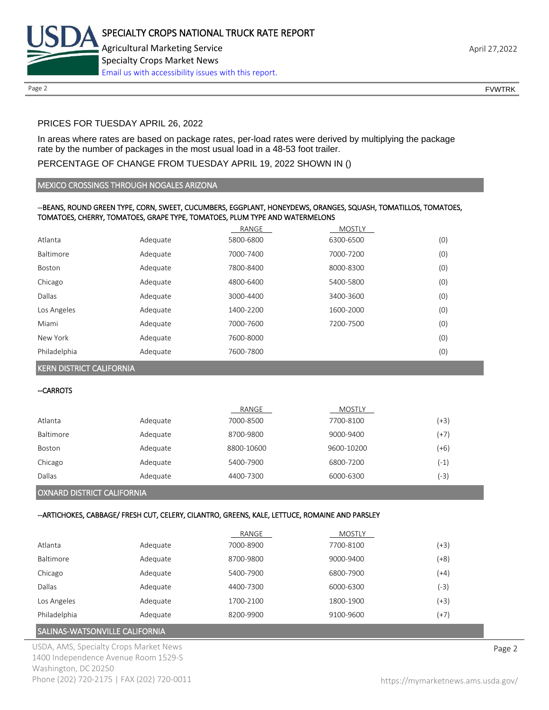

Page 2 FOUNTRK CONTROL CONTROL CONTROL CONTROL CONTROL CONTROL CONTROL CONTROL CONTROL CONTROL CONTROL CONTROL CONTROL CONTROL CONTROL CONTROL CONTROL CONTROL CONTROL CONTROL CONTROL CONTROL CONTROL CONTROL CONTROL CONTROL

## PRICES FOR TUESDAY APRIL 26, 2022

In areas where rates are based on package rates, per-load rates were derived by multiplying the package rate by the number of packages in the most usual load in a 48-53 foot trailer.

## PERCENTAGE OF CHANGE FROM TUESDAY APRIL 19, 2022 SHOWN IN ()

#### MEXICO CROSSINGS THROUGH NOGALES ARIZONA

#### --BEANS, ROUND GREEN TYPE, CORN, SWEET, CUCUMBERS, EGGPLANT, HONEYDEWS, ORANGES, SQUASH, TOMATILLOS, TOMATOES, TOMATOES, CHERRY, TOMATOES, GRAPE TYPE, TOMATOES, PLUM TYPE AND WATERMELONS

|              |          | RANGE     | <b>MOSTLY</b> |     |
|--------------|----------|-----------|---------------|-----|
| Atlanta      | Adequate | 5800-6800 | 6300-6500     | (0) |
| Baltimore    | Adequate | 7000-7400 | 7000-7200     | (0) |
| Boston       | Adequate | 7800-8400 | 8000-8300     | (0) |
| Chicago      | Adequate | 4800-6400 | 5400-5800     | (0) |
| Dallas       | Adequate | 3000-4400 | 3400-3600     | (0) |
| Los Angeles  | Adequate | 1400-2200 | 1600-2000     | (0) |
| Miami        | Adequate | 7000-7600 | 7200-7500     | (0) |
| New York     | Adequate | 7600-8000 |               | (0) |
| Philadelphia | Adequate | 7600-7800 |               | (0) |

KERN DISTRICT CALIFORNIA

--CARROTS

|           |          | RANGE      | MOSTLY     |        |
|-----------|----------|------------|------------|--------|
| Atlanta   | Adequate | 7000-8500  | 7700-8100  | (+3)   |
| Baltimore | Adequate | 8700-9800  | 9000-9400  | $(+7)$ |
| Boston    | Adequate | 8800-10600 | 9600-10200 | (+6)   |
| Chicago   | Adequate | 5400-7900  | 6800-7200  | (-1)   |
| Dallas    | Adequate | 4400-7300  | 6000-6300  | (-3)   |
|           |          |            |            |        |

#### OXNARD DISTRICT CALIFORNIA

## --ARTICHOKES, CABBAGE/ FRESH CUT, CELERY, CILANTRO, GREENS, KALE, LETTUCE, ROMAINE AND PARSLEY

|              |          | RANGE     | <b>MOSTLY</b> |        |
|--------------|----------|-----------|---------------|--------|
| Atlanta      | Adequate | 7000-8900 | 7700-8100     | (+3)   |
| Baltimore    | Adequate | 8700-9800 | 9000-9400     | $(+8)$ |
| Chicago      | Adequate | 5400-7900 | 6800-7900     | $(+4)$ |
| Dallas       | Adequate | 4400-7300 | 6000-6300     | (-3)   |
| Los Angeles  | Adequate | 1700-2100 | 1800-1900     | (+3)   |
| Philadelphia | Adequate | 8200-9900 | 9100-9600     | (+7)   |

## SALINAS-WATSONVILLE CALIFORNIA

USDA, AMS, Specialty Crops Market News **Page 2** 1400 Independence Avenue Room 1529-S Washington, DC 20250 Phone (202) 720-2175 | FAX (202) 720-0011 <https://mymarketnews.ams.usda.gov/>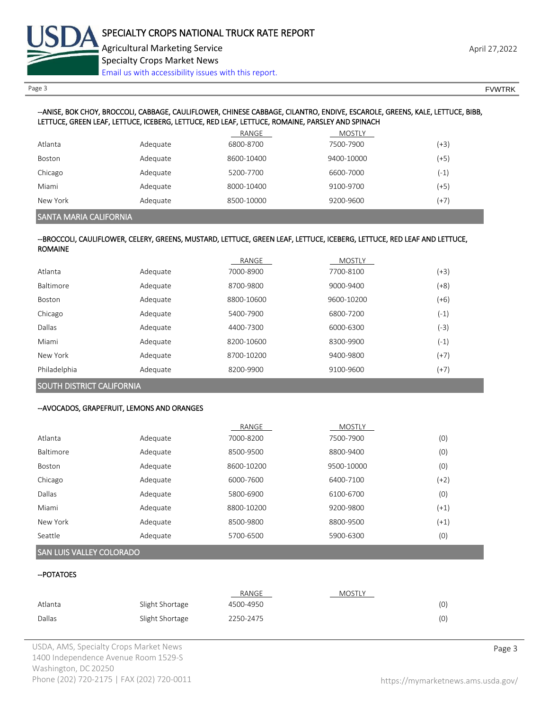

Page 3 FOUNTRK And the set of the set of the set of the set of the set of the set of the set of the set of the set of the set of the set of the set of the set of the set of the set of the set of the set of the set of the s

#### --ANISE, BOK CHOY, BROCCOLI, CABBAGE, CAULIFLOWER, CHINESE CABBAGE, CILANTRO, ENDIVE, ESCAROLE, GREENS, KALE, LETTUCE, BIBB, LETTUCE, GREEN LEAF, LETTUCE, ICEBERG, LETTUCE, RED LEAF, LETTUCE, ROMAINE, PARSLEY AND SPINACH

|               |          | RANGE      | <b>MOSTLY</b> |        |
|---------------|----------|------------|---------------|--------|
| Atlanta       | Adequate | 6800-8700  | 7500-7900     | (+3)   |
| <b>Boston</b> | Adequate | 8600-10400 | 9400-10000    | (+5)   |
| Chicago       | Adequate | 5200-7700  | 6600-7000     | (-1)   |
| Miami         | Adequate | 8000-10400 | 9100-9700     | (+5)   |
| New York      | Adequate | 8500-10000 | 9200-9600     | $(+7)$ |

SANTA MARIA CALIFORNIA

#### --BROCCOLI, CAULIFLOWER, CELERY, GREENS, MUSTARD, LETTUCE, GREEN LEAF, LETTUCE, ICEBERG, LETTUCE, RED LEAF AND LETTUCE, ROMAINE

|               |          | RANGE      | <b>MOSTLY</b> |        |
|---------------|----------|------------|---------------|--------|
| Atlanta       | Adequate | 7000-8900  | 7700-8100     | (+3)   |
| Baltimore     | Adequate | 8700-9800  | 9000-9400     | $(+8)$ |
| <b>Boston</b> | Adequate | 8800-10600 | 9600-10200    | (+6)   |
| Chicago       | Adequate | 5400-7900  | 6800-7200     | (-1)   |
| Dallas        | Adequate | 4400-7300  | 6000-6300     | (-3)   |
| Miami         | Adequate | 8200-10600 | 8300-9900     | (-1)   |
| New York      | Adequate | 8700-10200 | 9400-9800     | $(+7)$ |
| Philadelphia  | Adequate | 8200-9900  | 9100-9600     | $(+7)$ |

## SOUTH DISTRICT CALIFORNIA

#### --AVOCADOS, GRAPEFRUIT, LEMONS AND ORANGES

|                  |          | RANGE      | <b>MOSTLY</b> |        |
|------------------|----------|------------|---------------|--------|
| Atlanta          | Adequate | 7000-8200  | 7500-7900     | (0)    |
| <b>Baltimore</b> | Adequate | 8500-9500  | 8800-9400     | (0)    |
| <b>Boston</b>    | Adequate | 8600-10200 | 9500-10000    | (0)    |
| Chicago          | Adequate | 6000-7600  | 6400-7100     | (+2)   |
| Dallas           | Adequate | 5800-6900  | 6100-6700     | (0)    |
| Miami            | Adequate | 8800-10200 | 9200-9800     | $(+1)$ |
| New York         | Adequate | 8500-9800  | 8800-9500     | (+1)   |
| Seattle          | Adequate | 5700-6500  | 5900-6300     | (0)    |

# SAN LUIS VALLEY COLORADO

## --POTATOES

|         |                 | RANGE     | <b>MOSTLY</b> |     |
|---------|-----------------|-----------|---------------|-----|
| Atlanta | Slight Shortage | 4500-4950 |               | (0) |
| Dallas  | Slight Shortage | 2250-2475 |               | (0) |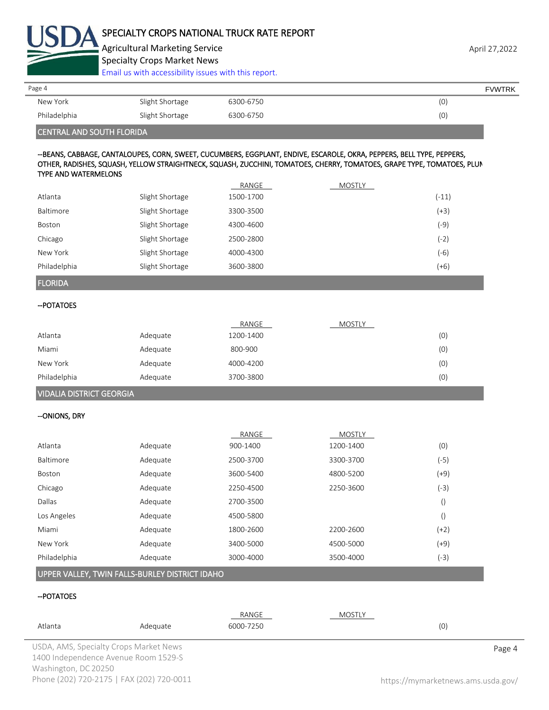

Agricultural Marketing Service **April 27,2022** Specialty Crops Market News

[Email us with accessibility issues with this report.](mailto:mars@ams.usda.gov?subject=508%20Inquiry/Report)

| Page 4                           |                 |           | <b>FVWTRK</b> |
|----------------------------------|-----------------|-----------|---------------|
| New York                         | Slight Shortage | 6300-6750 | (0)           |
| Philadelphia                     | Slight Shortage | 6300-6750 | (0)           |
| <b>CENTRAL AND SOUTH FLORIDA</b> |                 |           |               |

#### --BEANS, CABBAGE, CANTALOUPES, CORN, SWEET, CUCUMBERS, EGGPLANT, ENDIVE, ESCAROLE, OKRA, PEPPERS, BELL TYPE, PEPPERS, OTHER, RADISHES, SQUASH, YELLOW STRAIGHTNECK, SQUASH, ZUCCHINI, TOMATOES, CHERRY, TOMATOES, GRAPE TYPE, TOMATOES, PLUM TYPE AND WATERMELONS

|              |                 | RANGE     | <b>MOSTLY</b> |         |
|--------------|-----------------|-----------|---------------|---------|
| Atlanta      | Slight Shortage | 1500-1700 |               | $(-11)$ |
| Baltimore    | Slight Shortage | 3300-3500 |               | $(+3)$  |
| Boston       | Slight Shortage | 4300-4600 |               | (-9)    |
| Chicago      | Slight Shortage | 2500-2800 |               | (-2)    |
| New York     | Slight Shortage | 4000-4300 |               | (-6)    |
| Philadelphia | Slight Shortage | 3600-3800 |               | $(+6)$  |

## FLORIDA

## --POTATOES

|              |          | RANGE     | <b>MOSTLY</b> |     |
|--------------|----------|-----------|---------------|-----|
| Atlanta      | Adequate | 1200-1400 |               | (0) |
| Miami        | Adequate | 800-900   |               | (0) |
| New York     | Adequate | 4000-4200 |               | (0) |
| Philadelphia | Adequate | 3700-3800 |               | (0) |
|              |          |           |               |     |

## VIDALIA DISTRICT GEORGIA

## --ONIONS, DRY

|              |          | RANGE     | <b>MOSTLY</b> |                 |
|--------------|----------|-----------|---------------|-----------------|
| Atlanta      | Adequate | 900-1400  | 1200-1400     | (0)             |
| Baltimore    | Adequate | 2500-3700 | 3300-3700     | (-5)            |
| Boston       | Adequate | 3600-5400 | 4800-5200     | $(+9)$          |
| Chicago      | Adequate | 2250-4500 | 2250-3600     | (-3)            |
| Dallas       | Adequate | 2700-3500 |               | ()              |
| Los Angeles  | Adequate | 4500-5800 |               | $\left(\right)$ |
| Miami        | Adequate | 1800-2600 | 2200-2600     | $(+2)$          |
| New York     | Adequate | 3400-5000 | 4500-5000     | $(+9)$          |
| Philadelphia | Adequate | 3000-4000 | 3500-4000     | (-3)            |

# UPPER VALLEY, TWIN FALLS-BURLEY DISTRICT IDAHO

# --POTATOES

| Atlanta                                | Adequate                             | RANGE<br>6000-7250 | MOSTLY | (0) |        |
|----------------------------------------|--------------------------------------|--------------------|--------|-----|--------|
| USDA, AMS, Specialty Crops Market News |                                      |                    |        |     | Page 4 |
|                                        | 1400 Independence Avenue Room 1529-S |                    |        |     |        |
| Washington DC 20250                    |                                      |                    |        |     |        |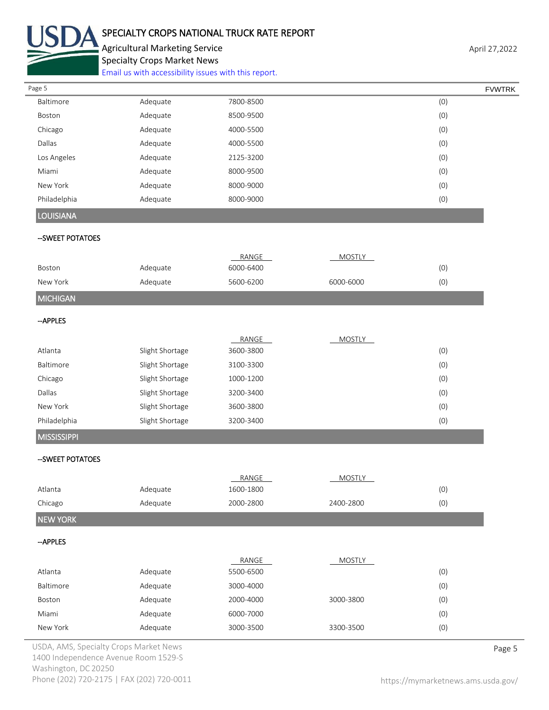

# SPECIALTY CROPS NATIONAL TRUCK RATE REPORT

Agricultural Marketing Service **April 27,2022** April 27,2022 Specialty Crops Market News

[Email us with accessibility issues with this report.](mailto:mars@ams.usda.gov?subject=508%20Inquiry/Report)

| Page 5             |                 |           |               |     | <b>FVWTRK</b> |
|--------------------|-----------------|-----------|---------------|-----|---------------|
| Baltimore          | Adequate        | 7800-8500 |               | (0) |               |
| Boston             | Adequate        | 8500-9500 |               | (0) |               |
| Chicago            | Adequate        | 4000-5500 |               | (0) |               |
| Dallas             | Adequate        | 4000-5500 |               | (0) |               |
| Los Angeles        | Adequate        | 2125-3200 |               | (0) |               |
| Miami              | Adequate        | 8000-9500 |               | (0) |               |
| New York           | Adequate        | 8000-9000 |               | (0) |               |
| Philadelphia       | Adequate        | 8000-9000 |               | (0) |               |
| <b>LOUISIANA</b>   |                 |           |               |     |               |
| -- SWEET POTATOES  |                 |           |               |     |               |
|                    |                 | RANGE     | <b>MOSTLY</b> |     |               |
| Boston             | Adequate        | 6000-6400 |               | (0) |               |
| New York           | Adequate        | 5600-6200 | 6000-6000     | (0) |               |
| <b>MICHIGAN</b>    |                 |           |               |     |               |
| --APPLES           |                 |           |               |     |               |
|                    |                 | RANGE     | <b>MOSTLY</b> |     |               |
| Atlanta            | Slight Shortage | 3600-3800 |               | (0) |               |
| Baltimore          | Slight Shortage | 3100-3300 |               | (0) |               |
| Chicago            | Slight Shortage | 1000-1200 |               | (0) |               |
| Dallas             | Slight Shortage | 3200-3400 |               | (0) |               |
| New York           | Slight Shortage | 3600-3800 |               | (0) |               |
| Philadelphia       | Slight Shortage | 3200-3400 |               | (0) |               |
| <b>MISSISSIPPI</b> |                 |           |               |     |               |
| -- SWEET POTATOES  |                 |           |               |     |               |
|                    |                 | RANGE     | <b>MOSTLY</b> |     |               |
| Atlanta            | Adequate        | 1600-1800 |               | (0) |               |
| Chicago            | Adequate        | 2000-2800 | 2400-2800     | (0) |               |
| <b>NEW YORK</b>    |                 |           |               |     |               |
| --APPLES           |                 |           |               |     |               |
|                    |                 | RANGE     | <b>MOSTLY</b> |     |               |
| Atlanta            | Adequate        | 5500-6500 |               | (0) |               |
| Baltimore          | Adequate        | 3000-4000 |               | (0) |               |
| Boston             | Adequate        | 2000-4000 | 3000-3800     | (0) |               |
| Miami              | Adequate        | 6000-7000 |               | (0) |               |
| New York           | Adequate        | 3000-3500 | 3300-3500     | (0) |               |

USDA, AMS, Specialty Crops Market News **Page 5** 1400 Independence Avenue Room 1529-S Washington, DC 20250 Phone (202) 720-2175 | FAX (202) 720-0011 <https://mymarketnews.ams.usda.gov/>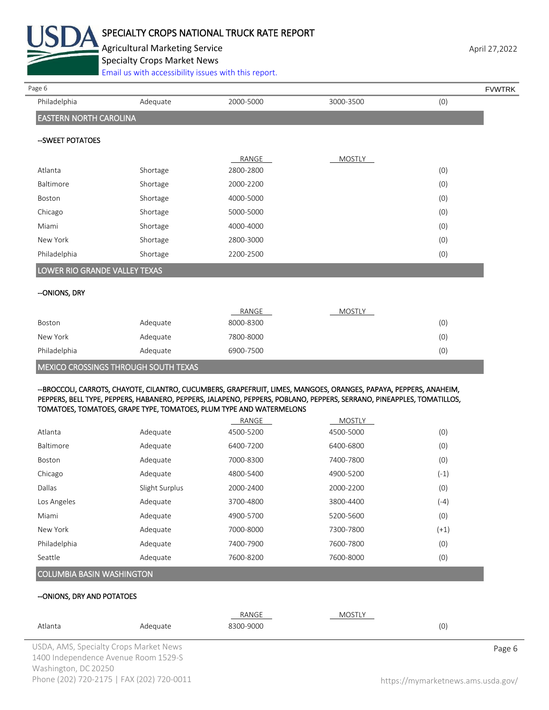

# SPECIALTY CROPS NATIONAL TRUCK RATE REPORT

Agricultural Marketing Service April 27,2022 **April 27,2022** Specialty Crops Market News

[Email us with accessibility issues with this report.](mailto:mars@ams.usda.gov?subject=508%20Inquiry/Report)

# Philadelphia Adequate 2000-5000 3000-3500 (0) EASTERN NORTH CAROLINA --SWEET POTATOES RANGE MOSTLY Atlanta Shortage 2800-2800 (0) Baltimore Shortage 2000-2200 (0) Boston Shortage 4000-5000 (0) Chicago Shortage 5000-5000 (0) Miami Shortage 4000-4000 (0) New York Shortage 2800-3000 (0) Philadelphia Shortage 2200-2500 (0) LOWER RIO GRANDE VALLEY TEXAS --ONIONS, DRY RANGE MOSTLY Boston Adequate 8000-8300 (0) New York Adequate 7800-8000 (0) Philadelphia Adequate 6900-7500 (0) Page 6 FVWTRK

MEXICO CROSSINGS THROUGH SOUTH TEXAS

#### --BROCCOLI, CARROTS, CHAYOTE, CILANTRO, CUCUMBERS, GRAPEFRUIT, LIMES, MANGOES, ORANGES, PAPAYA, PEPPERS, ANAHEIM, PEPPERS, BELL TYPE, PEPPERS, HABANERO, PEPPERS, JALAPENO, PEPPERS, POBLANO, PEPPERS, SERRANO, PINEAPPLES, TOMATILLOS, TOMATOES, TOMATOES, GRAPE TYPE, TOMATOES, PLUM TYPE AND WATERMELONS

|              |                | RANGE     | <b>MOSTLY</b> |        |
|--------------|----------------|-----------|---------------|--------|
| Atlanta      | Adequate       | 4500-5200 | 4500-5000     | (0)    |
| Baltimore    | Adequate       | 6400-7200 | 6400-6800     | (0)    |
| Boston       | Adequate       | 7000-8300 | 7400-7800     | (0)    |
| Chicago      | Adequate       | 4800-5400 | 4900-5200     | $(-1)$ |
| Dallas       | Slight Surplus | 2000-2400 | 2000-2200     | (0)    |
| Los Angeles  | Adequate       | 3700-4800 | 3800-4400     | $(-4)$ |
| Miami        | Adequate       | 4900-5700 | 5200-5600     | (0)    |
| New York     | Adequate       | 7000-8000 | 7300-7800     | $(+1)$ |
| Philadelphia | Adequate       | 7400-7900 | 7600-7800     | (0)    |
| Seattle      | Adequate       | 7600-8200 | 7600-8000     | (0)    |
|              |                |           |               |        |

# COLUMBIA BASIN WASHINGTON

# --ONIONS, DRY AND POTATOES

| Atlanta                                | Adequate                             | RANGE<br>8300-9000 | <b>MOSTLY</b> | (0) |        |
|----------------------------------------|--------------------------------------|--------------------|---------------|-----|--------|
| USDA, AMS, Specialty Crops Market News |                                      |                    |               |     | Page 6 |
|                                        | 1400 Independence Avenue Room 1529-S |                    |               |     |        |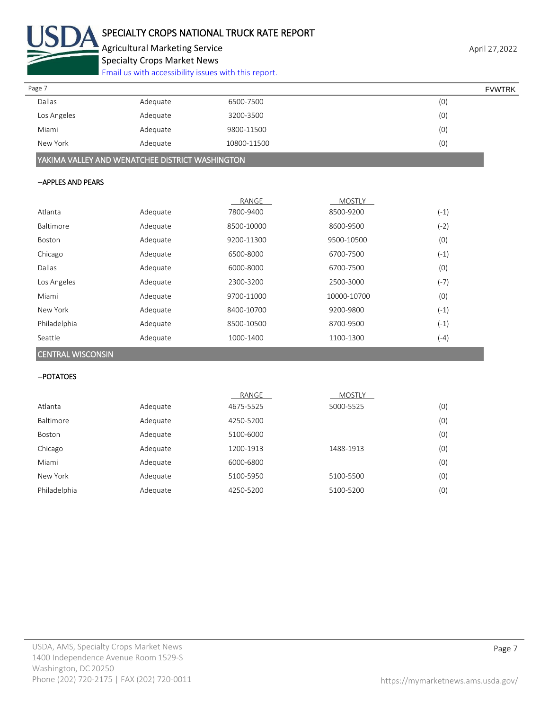

Agricultural Marketing Service **April 27,2022** Specialty Crops Market News

[Email us with accessibility issues with this report.](mailto:mars@ams.usda.gov?subject=508%20Inquiry/Report)

| Page 7        |          |             | <b>FVWTRK</b> |
|---------------|----------|-------------|---------------|
| <b>Dallas</b> | Adequate | 6500-7500   | (0)           |
| Los Angeles   | Adequate | 3200-3500   | (0)           |
| Miami         | Adequate | 9800-11500  | (0)           |
| New York      | Adequate | 10800-11500 | (0)           |

YAKIMA VALLEY AND WENATCHEE DISTRICT WASHINGTON

#### --APPLES AND PEARS

|              |          | RANGE      | <b>MOSTLY</b> |        |
|--------------|----------|------------|---------------|--------|
| Atlanta      | Adequate | 7800-9400  | 8500-9200     | $(-1)$ |
| Baltimore    | Adequate | 8500-10000 | 8600-9500     | (-2)   |
| Boston       | Adequate | 9200-11300 | 9500-10500    | (0)    |
| Chicago      | Adequate | 6500-8000  | 6700-7500     | (-1)   |
| Dallas       | Adequate | 6000-8000  | 6700-7500     | (0)    |
| Los Angeles  | Adequate | 2300-3200  | 2500-3000     | (-7)   |
| Miami        | Adequate | 9700-11000 | 10000-10700   | (0)    |
| New York     | Adequate | 8400-10700 | 9200-9800     | $(-1)$ |
| Philadelphia | Adequate | 8500-10500 | 8700-9500     | (-1)   |
| Seattle      | Adequate | 1000-1400  | 1100-1300     | $(-4)$ |

## CENTRAL WISCONSIN

## --POTATOES

|              |          | RANGE     | <b>MOSTLY</b> |     |
|--------------|----------|-----------|---------------|-----|
| Atlanta      | Adequate | 4675-5525 | 5000-5525     | (0) |
| Baltimore    | Adequate | 4250-5200 |               | (0) |
| Boston       | Adequate | 5100-6000 |               | (0) |
| Chicago      | Adequate | 1200-1913 | 1488-1913     | (0) |
| Miami        | Adequate | 6000-6800 |               | (0) |
| New York     | Adequate | 5100-5950 | 5100-5500     | (0) |
| Philadelphia | Adequate | 4250-5200 | 5100-5200     | (0) |